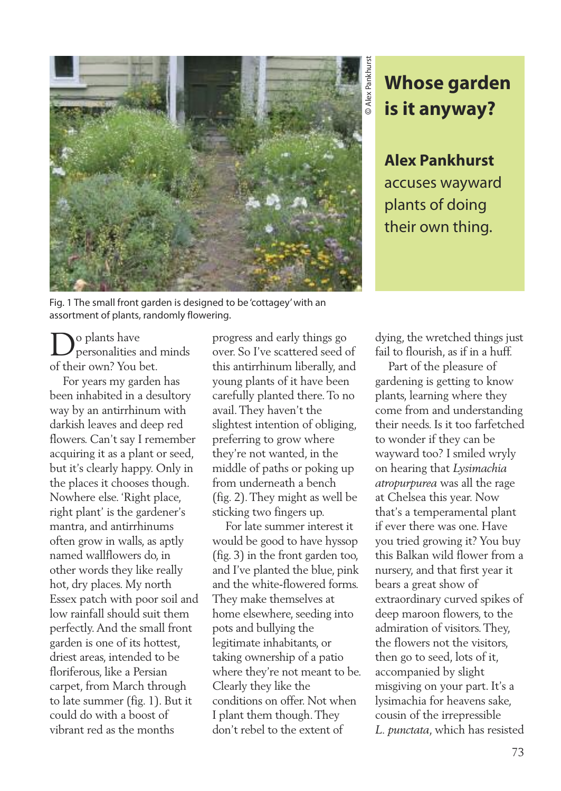

## **Whose garden is it anyway?**

**Alex Pankhurst** accuses wayward plants of doing their own thing.

Fig. 1 The small front garden is designed to be 'cottagey'with an assortment of plants, randomly flowering.

Do plants have personalities and minds of their own? You bet.

For years my garden has been inhabited in a desultory way by an antirrhinum with darkish leaves and deep red flowers. Can't say I remember acquiring it as a plant or seed, but it's clearly happy. Only in the places it chooses though. Nowhere else. 'Right place, right plant' is the gardener's mantra, and antirrhinums often grow in walls, as aptly named wallflowers do, in other words they like really hot, dry places. My north Essex patch with poor soil and low rainfall should suit them perfectly.And the small front garden is one of its hottest, driest areas, intended to be floriferous, like a Persian carpet, from March through to late summer (fig. 1). But it could do with a boost of vibrant red as the months

progress and early things go over. So I've scattered seed of this antirrhinum liberally, and young plants of it have been carefully planted there.To no avail.They haven't the slightest intention of obliging, preferring to grow where they're not wanted, in the middle of paths or poking up from underneath a bench (fig. 2).They might as well be sticking two fingers up.

For late summer interest it would be good to have hyssop (fig. 3) in the front garden too, and I've planted the blue, pink and the white-flowered forms. They make themselves at home elsewhere, seeding into pots and bullying the legitimate inhabitants, or taking ownership of a patio where they're not meant to be. Clearly they like the conditions on offer. Not when I plant them though.They don't rebel to the extent of

dying, the wretched things just fail to flourish, as if in a huff.

Part of the pleasure of gardening is getting to know plants, learning where they come from and understanding their needs. Is it too farfetched to wonder if they can be wayward too? I smiled wryly on hearing that *Lysimachia atropurpurea* was all the rage at Chelsea this year. Now that's a temperamental plant if ever there was one. Have you tried growing it? You buy this Balkan wild flower from a nursery, and that first year it bears a great show of extraordinary curved spikes of deep maroon flowers, to the admiration of visitors.They, the flowers not the visitors, then go to seed, lots of it, accompanied by slight misgiving on your part. It's a lysimachia for heavens sake, cousin of the irrepressible *L. punctata*, which has resisted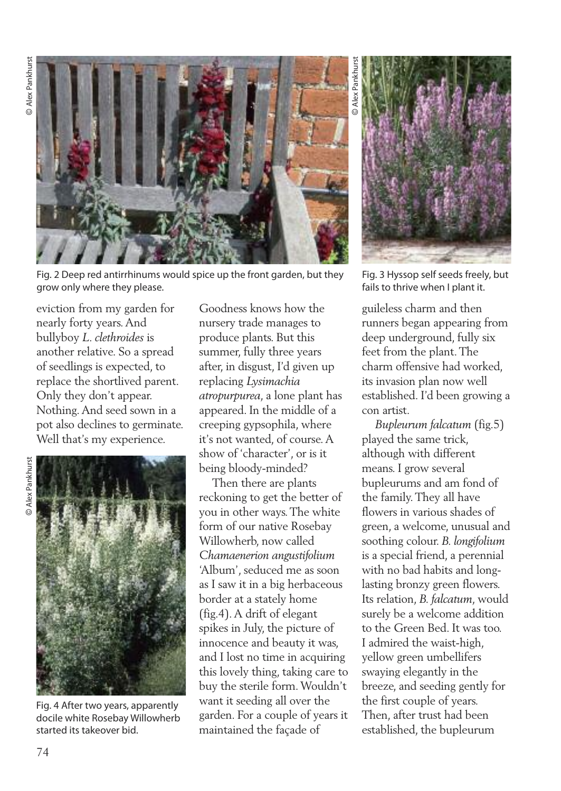

Fig. 2 Deep red antirrhinums would spice up the front garden, but they grow only where they please.

eviction from my garden for nearly forty years.And bullyboy *L. clethroides* is another relative. So a spread of seedlings is expected, to replace the shortlived parent. Only they don't appear. Nothing.And seed sown in a pot also declines to germinate. Well that's my experience.



Fig. 4 After two years, apparently docile white Rosebay Willowherb started its takeover bid.

Goodness knows how the nursery trade manages to produce plants. But this summer, fully three years after, in disgust, I'd given up replacing *Lysimachia atropurpurea*, a lone plant has appeared. In the middle of a creeping gypsophila, where it's not wanted, of course.A show of 'character', or is it being bloody-minded?

Then there are plants reckoning to get the better of you in other ways.The white form of our native Rosebay Willowherb, now called *Chamaenerion angustifolium* 'Album', seduced me as soon as I saw it in a big herbaceous border at a stately home (fig.4).A drift of elegant spikes in July, the picture of innocence and beauty it was, and I lost no time in acquiring this lovely thing, taking care to buy the sterile form.Wouldn't want it seeding all over the garden. For a couple of years it maintained the façade of

 Alex Pankhurst lex<sub>1</sub> ©

Fig. 3 Hyssop self seeds freely, but fails to thrive when I plant it.

guileless charm and then runners began appearing from deep underground, fully six feet from the plant.The charm offensive had worked, its invasion plan now well established. I'd been growing a con artist.

*Bupleurum falcatum* (fig.5) played the same trick, although with different means. I grow several bupleurums and am fond of the family.They all have flowers in various shades of green, a welcome, unusual and soothing colour. *B. longifolium* is a special friend, a perennial with no bad habits and longlasting bronzy green flowers. Its relation, *B. falcatum*, would surely be a welcome addition to the Green Bed. It was too. I admired the waist-high, yellow green umbellifers swaying elegantly in the breeze, and seeding gently for the first couple of years. Then, after trust had been established, the bupleurum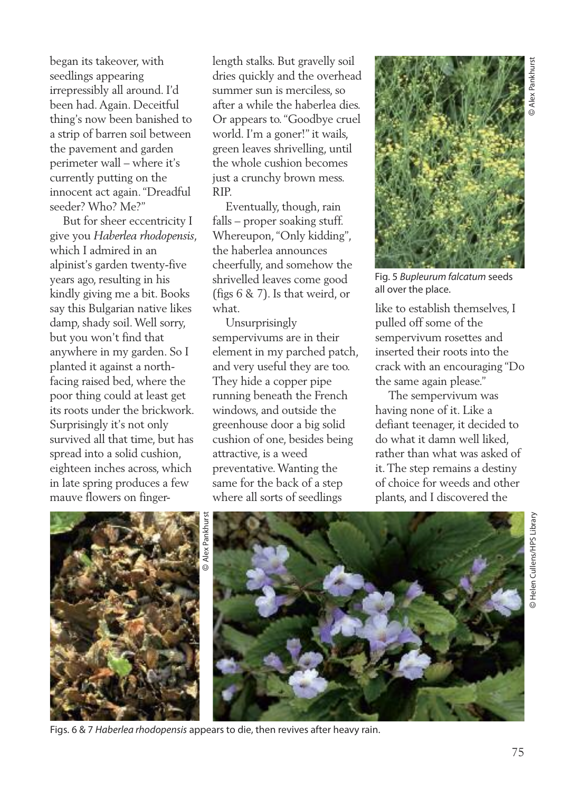began its takeover, with seedlings appearing irrepressibly all around. I'd been had.Again. Deceitful thing's now been banished to a strip of barren soil between the pavement and garden perimeter wall – where it's currently putting on the innocent act again."Dreadful seeder? Who? Me?"

But for sheer eccentricity I give you *Haberlea rhodopensis*, which I admired in an alpinist's garden twenty-five years ago, resulting in his kindly giving me a bit. Books say this Bulgarian native likes damp, shady soil.Well sorry, but you won't find that anywhere in my garden. So I planted it against a northfacing raised bed, where the poor thing could at least get its roots under the brickwork. Surprisingly it's not only survived all that time, but has spread into a solid cushion, eighteen inches across, which in late spring produces a few mauve flowers on fingerlength stalks. But gravelly soil dries quickly and the overhead summer sun is merciless, so after a while the haberlea dies. Or appears to."Goodbye cruel world. I'm a goner!" it wails, green leaves shrivelling, until the whole cushion becomes just a crunchy brown mess. RIP.

Eventually, though, rain falls – proper soaking stuff. Whereupon,"Only kidding", the haberlea announces cheerfully, and somehow the shrivelled leaves come good (figs 6 & 7). Is that weird, or what.

Unsurprisingly sempervivums are in their element in my parched patch, and very useful they are too. They hide a copper pipe running beneath the French windows, and outside the greenhouse door a big solid cushion of one, besides being attractive, is a weed preventative.Wanting the same for the back of a step where all sorts of seedlings



Fig. 5 *Bupleurum falcatum* seeds all over the place.

like to establish themselves, I pulled off some of the sempervivum rosettes and inserted their roots into the crack with an encouraging "Do the same again please."

The sempervivum was having none of it. Like a defiant teenager, it decided to do what it damn well liked, rather than what was asked of it.The step remains a destiny of choice for weeds and other plants, and I discovered the





Figs. 6 & 7 *Haberlea rhodopensis* appears to die, then revives after heavy rain.